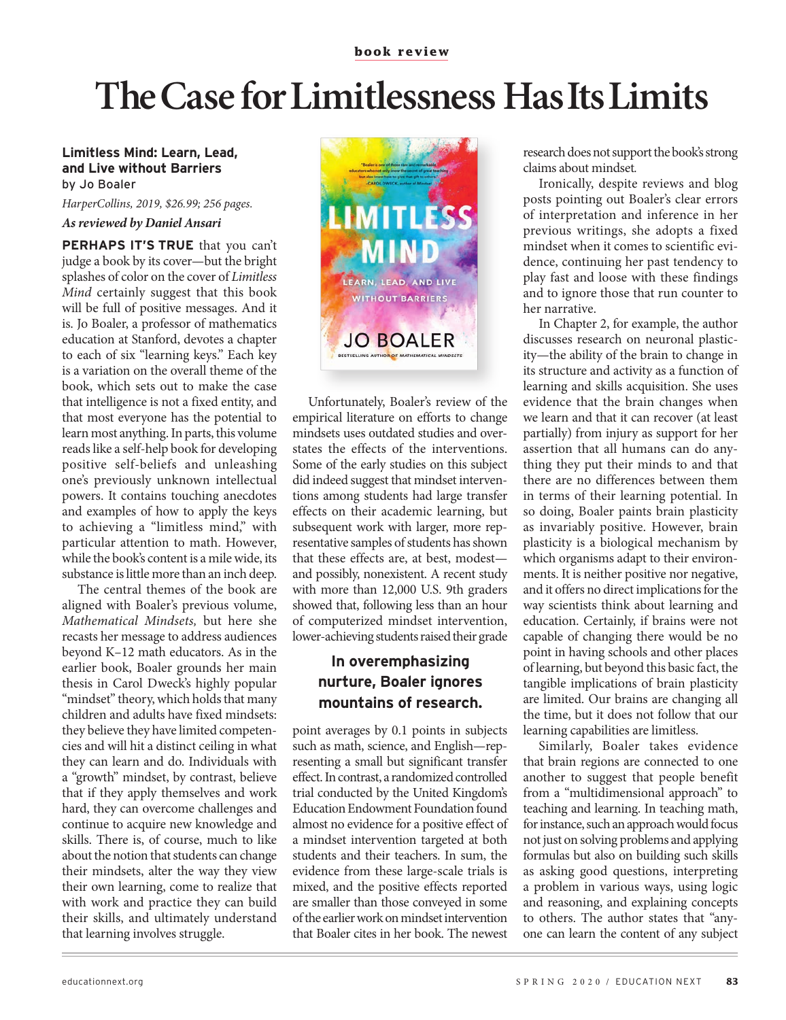## **The Case for Limitlessness Has Its Limits**

## **Limitless Mind: Learn, Lead, and Live without Barriers** by Jo Boaler

*HarperCollins, 2019, \$26.99; 256 pages. As reviewed by Daniel Ansari*

**PERHAPS IT'S TRUE** that you can't judge a book by its cover—but the bright splashes of color on the cover of *Limitless Mind* certainly suggest that this book will be full of positive messages. And it is. Jo Boaler, a professor of mathematics education at Stanford, devotes a chapter to each of six "learning keys." Each key is a variation on the overall theme of the book, which sets out to make the case that intelligence is not a fixed entity, and that most everyone has the potential to learn most anything. In parts, this volume reads like a self-help book for developing positive self-beliefs and unleashing one's previously unknown intellectual powers. It contains touching anecdotes and examples of how to apply the keys to achieving a "limitless mind," with particular attention to math. However, while the book's content is a mile wide, its substance is little more than an inch deep.

The central themes of the book are aligned with Boaler's previous volume, *Mathematical Mindsets,* but here she recasts her message to address audiences beyond K–12 math educators. As in the earlier book, Boaler grounds her main thesis in Carol Dweck's highly popular "mindset" theory, which holds that many children and adults have fixed mindsets: they believe they have limited competencies and will hit a distinct ceiling in what they can learn and do. Individuals with a "growth" mindset, by contrast, believe that if they apply themselves and work hard, they can overcome challenges and continue to acquire new knowledge and skills. There is, of course, much to like about the notion that students can change their mindsets, alter the way they view their own learning, come to realize that with work and practice they can build their skills, and ultimately understand that learning involves struggle.



Unfortunately, Boaler's review of the empirical literature on efforts to change mindsets uses outdated studies and overstates the effects of the interventions. Some of the early studies on this subject did indeed suggest that mindset interventions among students had large transfer effects on their academic learning, but subsequent work with larger, more representative samples of students has shown that these effects are, at best, modest and possibly, nonexistent. A recent study with more than 12,000 U.S. 9th graders showed that, following less than an hour of computerized mindset intervention, lower-achieving students raised their grade

## **In overemphasizing nurture, Boaler ignores mountains of research.**

point averages by 0.1 points in subjects such as math, science, and English—representing a small but significant transfer effect. In contrast, a randomized controlled trial conducted by the United Kingdom's Education Endowment Foundation found almost no evidence for a positive effect of a mindset intervention targeted at both students and their teachers. In sum, the evidence from these large-scale trials is mixed, and the positive effects reported are smaller than those conveyed in some of the earlier work on mindset intervention that Boaler cites in her book. The newest

research does not support the book's strong claims about mindset*.* 

Ironically, despite reviews and blog posts pointing out Boaler's clear errors of interpretation and inference in her previous writings, she adopts a fixed mindset when it comes to scientific evidence, continuing her past tendency to play fast and loose with these findings and to ignore those that run counter to her narrative.

In Chapter 2, for example, the author discusses research on neuronal plasticity—the ability of the brain to change in its structure and activity as a function of learning and skills acquisition. She uses evidence that the brain changes when we learn and that it can recover (at least partially) from injury as support for her assertion that all humans can do anything they put their minds to and that there are no differences between them in terms of their learning potential. In so doing, Boaler paints brain plasticity as invariably positive. However, brain plasticity is a biological mechanism by which organisms adapt to their environments. It is neither positive nor negative, and it offers no direct implications for the way scientists think about learning and education. Certainly, if brains were not capable of changing there would be no point in having schools and other places of learning, but beyond this basic fact, the tangible implications of brain plasticity are limited. Our brains are changing all the time, but it does not follow that our learning capabilities are limitless.

Similarly, Boaler takes evidence that brain regions are connected to one another to suggest that people benefit from a "multidimensional approach" to teaching and learning. In teaching math, for instance, such an approach would focus not just on solving problems and applying formulas but also on building such skills as asking good questions, interpreting a problem in various ways, using logic and reasoning, and explaining concepts to others. The author states that "anyone can learn the content of any subject